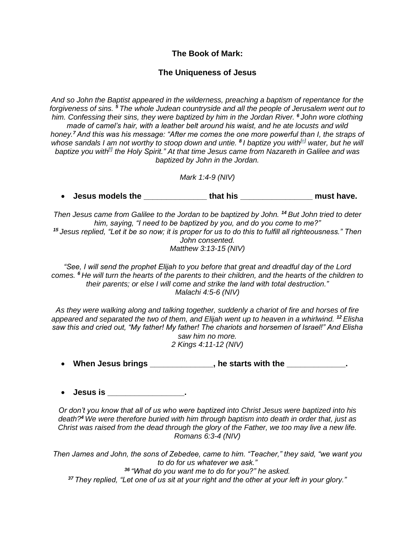## **The Book of Mark:**

## **The Uniqueness of Jesus**

*And so John the Baptist appeared in the wilderness, preaching a baptism of repentance for the forgiveness of sins. <sup>5</sup> The whole Judean countryside and all the people of Jerusalem went out to him. Confessing their sins, they were baptized by him in the Jordan River. <sup>6</sup> John wore clothing made of camel's hair, with a leather belt around his waist, and he ate locusts and wild honey.<sup>7</sup> And this was his message: "After me comes the one more powerful than I, the straps of whose sandals I am not worthy to stoop down and untie. <sup>8</sup> I baptize you with[e] water, but he will baptize you with[f] the Holy Spirit." At that time Jesus came from Nazareth in Galilee and was baptized by John in the Jordan.*

*Mark 1:4-9 (NIV)*

• **Jesus models the that his that his all the set of the set of the set of the set of the set of the set of the set of the set of the set of the set of the set of the set of the set of the set of the set of the set of the** 

*Then Jesus came from Galilee to the Jordan to be baptized by John. <sup>14</sup> But John tried to deter him, saying, "I need to be baptized by you, and do you come to me?" <sup>15</sup> Jesus replied, "Let it be so now; it is proper for us to do this to fulfill all righteousness." Then John consented. Matthew 3:13-15 (NIV)*

*"See, I will send the prophet Elijah to you before that great and dreadful day of the Lord comes. <sup>6</sup> He will turn the hearts of the parents to their children, and the hearts of the children to their parents; or else I will come and strike the land with total destruction." Malachi 4:5-6 (NIV)*

*As they were walking along and talking together, suddenly a chariot of fire and horses of fire appeared and separated the two of them, and Elijah went up to heaven in a whirlwind. <sup>12</sup> Elisha saw this and cried out, "My father! My father! The chariots and horsemen of Israel!" And Elisha saw him no more. 2 Kings 4:11-12 (NIV)*

• **When Jesus brings \_\_\_\_\_\_\_\_\_\_\_\_\_\_, he starts with the \_\_\_\_\_\_\_\_\_\_\_\_\_.**

• **Jesus is \_\_\_\_\_\_\_\_\_\_\_\_\_\_\_\_\_.**

*Or don't you know that all of us who were baptized into Christ Jesus were baptized into his death?<sup>4</sup> We were therefore buried with him through baptism into death in order that, just as Christ was raised from the dead through the glory of the Father, we too may live a new life. Romans 6:3-4 (NIV)*

*Then James and John, the sons of Zebedee, came to him. "Teacher," they said, "we want you to do for us whatever we ask."*

*<sup>36</sup> "What do you want me to do for you?" he asked.*

*<sup>37</sup> They replied, "Let one of us sit at your right and the other at your left in your glory."*